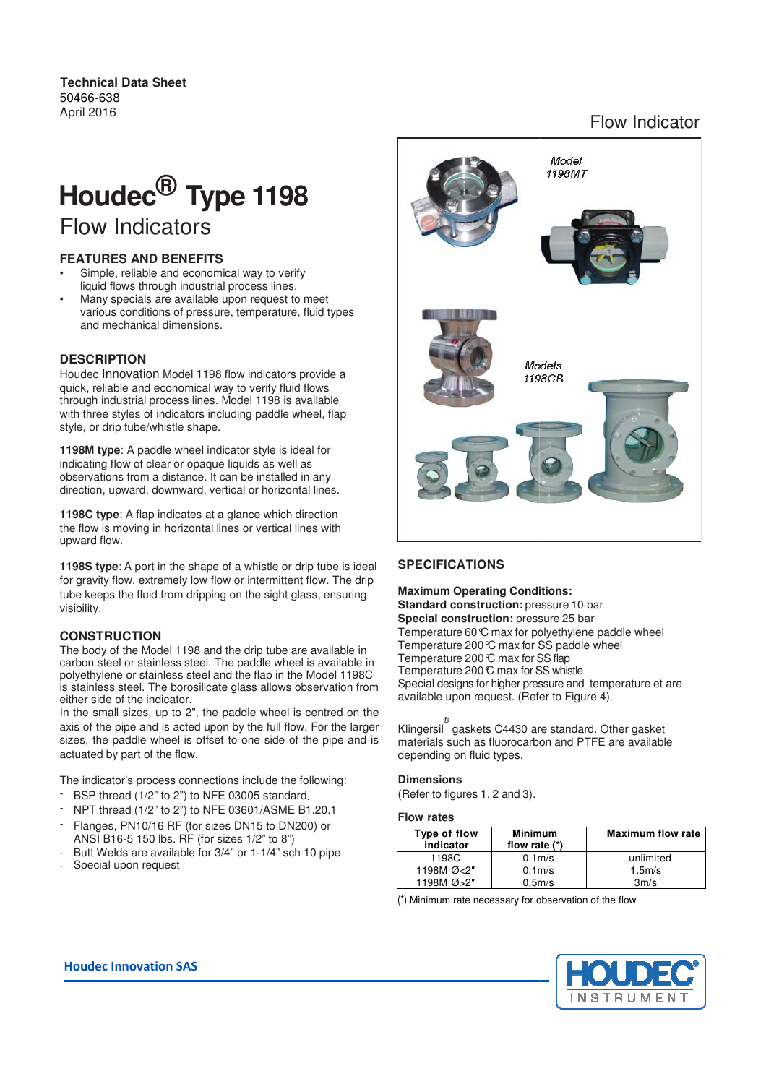#### **Technical Data Sheet** 50466-638 April 2016

# Flow Indicator

# Houdec<sup>®</sup> Type 1198 Flow Indicators

## **FEATURES AND BENEFITS**

- Simple, reliable and economical way to verify Simple, reliable and economical way to veri<br>liquid flows through industrial process lines.
- Many specials are available upon request to meet various conditions of pressure, temperature, fluid types and mechanical dimensions.

#### **DESCRIPTION**

Houdec Innovation Model 1198 flow indicators provide a quick, reliable and economical way to verify fluid flows through industrial process lines. Model 1198 is available with three styles of indicators including paddle wheel, flap style, or drip tube/whistle shape. request to meet<br>cials are available upon request to meet<br>onditions of pressure, temperature, fluid typ<br>annical dimensions.<br>**ON**<br>**ON**<br>vation Model 1198 flow indicators provide<br> $\epsilon$ , and economical way to verify fluid flows<br>

**1198M type**: A paddle wheel indicator style is ideal for indicating flow of clear or opaque liquids as well as observations from a distance. It can be installed in any direction, upward, downward, vertical or horizontal lines

**1198C type**: A flap indicates at a glance which direction the flow is moving in horizontal lines or vertical lines with upward flow. a glance which direction<br>lines or vertical lines with<br>et of a whistle or drip tube is ideal<br>ow or intermittent flow. The drip

**1198S type**: A port in the shape of a whistle or drip tube is ideal for gravity flow, extremely low flow or intermittent flow. The drip tube keeps the fluid from dripping on the sight glass, ensuring visibility.

#### **CONSTRUCTION**

The body of the Model 1198 and the drip tube are available in carbon steel or stainless steel. The paddle wheel is available in polyethylene or stainless steel and the flap in the Model 1198C is stainless steel. The borosilicate glass allows observation from either side of the indicator. ensuring<br>ailable in<br>vailable in<br>del 1198C<br>vation from to the shape of a whistle or drip tube is ideal<br>
ely low flow or intermittent flow. The drip<br>
om dripping on the sight glass, ensuring<br>
standard construction<br>
standard construction<br>
standard construction<br>
standard construc

In the small sizes, up to 2", the paddle wheel is centred on the axis of the pipe and is acted upon by the full flow. For the larger sizes, the paddle wheel is offset to one side of the pipe and is actuated by part of the flow. paddle wheel is centred<br>in by the full flow. For the<br>t to one side of the pipe<br>ons include the following:

The indicator's process connections include the following

- $-$  BSP thread (1/2" to 2") to NFE 03005 standard.
- NPT thread (1/2" to 2") to NFE 03601/ASME B1.20.1
- Flanges, PN10/16 RF (for sizes DN15 to DN200) or ANSI B16-5 150 lbs. RF (for sizes 1/2" to 8")
- Butt Welds are available for 3/4" or 1-1/4" sch 10 pipe
- Special upon request



#### **Maximum Operating Conditions Conditions:**

**Standard construction: pressure 10 bar Special construction:** pressure 25 bar Temperature 60 $\mathbb C$  max for polyethylene paddle wheel Temperature 200 $\mathcal C$  max for SS paddle wheel Temperature 200 C max for SS flap Temperature 200°C max for SS whistle Special designs for higher pressure and temperature et are available upon request. (Refer to Figure 4).

Klingersil **®** gaskets C4430 are standard. Other gasket materials such as fluorocarbon and PTFE are available depending on fluid types.

#### **Dimensions**

(Refer to figures 1, 2 and 3).

#### **Flow rates**

| Type of flow<br>indicator | <b>Minimum</b><br>flow rate $(*)$ | <b>Maximum flow rate</b> |
|---------------------------|-----------------------------------|--------------------------|
| 1198C                     | 0.1 <sub>m</sub>                  | unlimited                |
| 1198M Ø<2"                | 0.1 <sub>m</sub>                  | $1.5m$ /s                |
| 1198M Ø > 2"              | 0.5 <sub>m</sub>                  | 3m/s                     |

 $(*)$  Minimum rate necessary for observation of the flow



#### **Houdec Innovation SAS**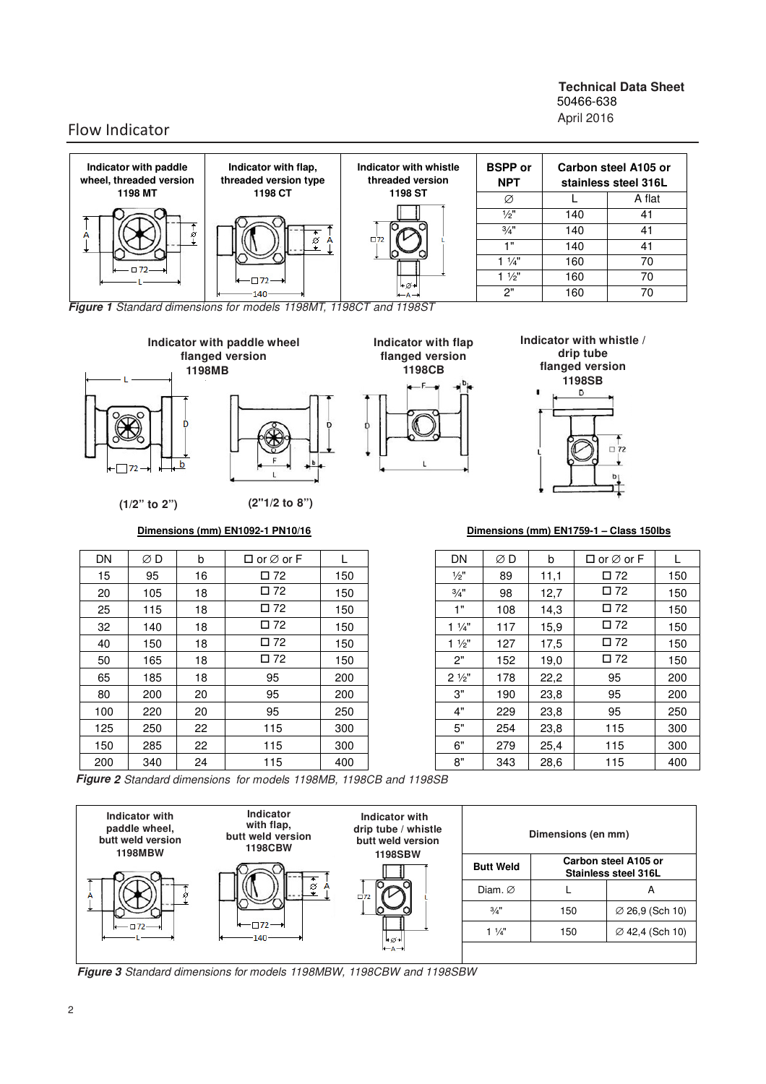#### **Technical Data Sheet** 50466-638 April 2016

# Flow Indicator



**Figure 1** Standard dimensions for models 1198MT, 1198CT and 1198ST



| DN   | ØΒ  | b  | $\Box$ or $\varnothing$ or F    | L   | DN              | ØΒ  | b    | $\Box$ or $\varnothing$ or F |     |
|------|-----|----|---------------------------------|-----|-----------------|-----|------|------------------------------|-----|
| 15   | 95  | 16 | $\square$ 72                    | 150 | $\frac{1}{2}$   | 89  | 11,1 | $\square$ 72                 | 150 |
| 20   | 105 | 18 | $\square$ 72                    | 150 | $\frac{3}{4}$ " | 98  | 12,7 | $\square$ 72                 | 150 |
| 25   | 115 | 18 | $\square$ 72                    | 150 | 1"              | 108 | 14,3 | $\square$ 72                 | 150 |
| 32   | 140 | 18 | $\square$ 72                    | 150 | $1\frac{1}{4}$  | 117 | 15,9 | $\square$ 72                 | 150 |
| 40   | 150 | 18 | $\square$ 72                    | 150 | $1\frac{1}{2}$  | 127 | 17,5 | $\square$ 72                 | 150 |
| 50   | 165 | 18 | $\square$ 72                    | 150 | 2"              | 152 | 19,0 | $\square$ 72                 | 150 |
| 65   | 185 | 18 | 95                              | 200 | $2\frac{1}{2}$  | 178 | 22,2 | 95                           | 200 |
| 80   | 200 | 20 | 95                              | 200 | 3"              | 190 | 23,8 | 95                           | 200 |
| 100  | 220 | 20 | 95                              | 250 | 4"              | 229 | 23,8 | 95                           | 250 |
| 125  | 250 | 22 | 115                             | 300 | 5"              | 254 | 23,8 | 115                          | 300 |
| 150  | 285 | 22 | 115                             | 300 | 6"              | 279 | 25,4 | 115                          | 300 |
| 200  | 340 | 24 | 115                             | 400 | 8"              | 343 | 28,6 | 115                          | 400 |
| $ -$ |     |    | $\overline{\phantom{a}}$<br>. . |     |                 |     |      |                              |     |

 $\overline{C}$  72

| DN              | ØD  | b    | $\Box$ or $\varnothing$ or F | L   |
|-----------------|-----|------|------------------------------|-----|
| $\frac{1}{2}$   | 89  | 11,1 | $\square$ 72                 | 150 |
| $\frac{3}{4}$ " | 98  | 12,7 | □ 72                         | 150 |
| 1"              | 108 | 14,3 | $\square$ 72                 | 150 |
| $1\frac{1}{4}$  | 117 | 15,9 | □ 72                         | 150 |
| $1\frac{1}{2}$  | 127 | 17,5 | $\square$ 72                 | 150 |
| 2"              | 152 | 19,0 | □ 72                         | 150 |
| $2\frac{1}{2}$  | 178 | 22,2 | 95                           | 200 |
| 3"              | 190 | 23,8 | 95                           | 200 |
| 4"              | 229 | 23,8 | 95                           | 250 |
| 5"              | 254 | 23,8 | 115                          | 300 |
| 6"              | 279 | 25,4 | 115                          | 300 |
| 8"              | 343 | 28,6 | 115                          | 400 |

**Figure 2** Standard dimensions for models 1198MB, 1198CB and 1198SB



**Figure 3** Standard dimensions for models 1198MBW, 1198CBW and 1198SBW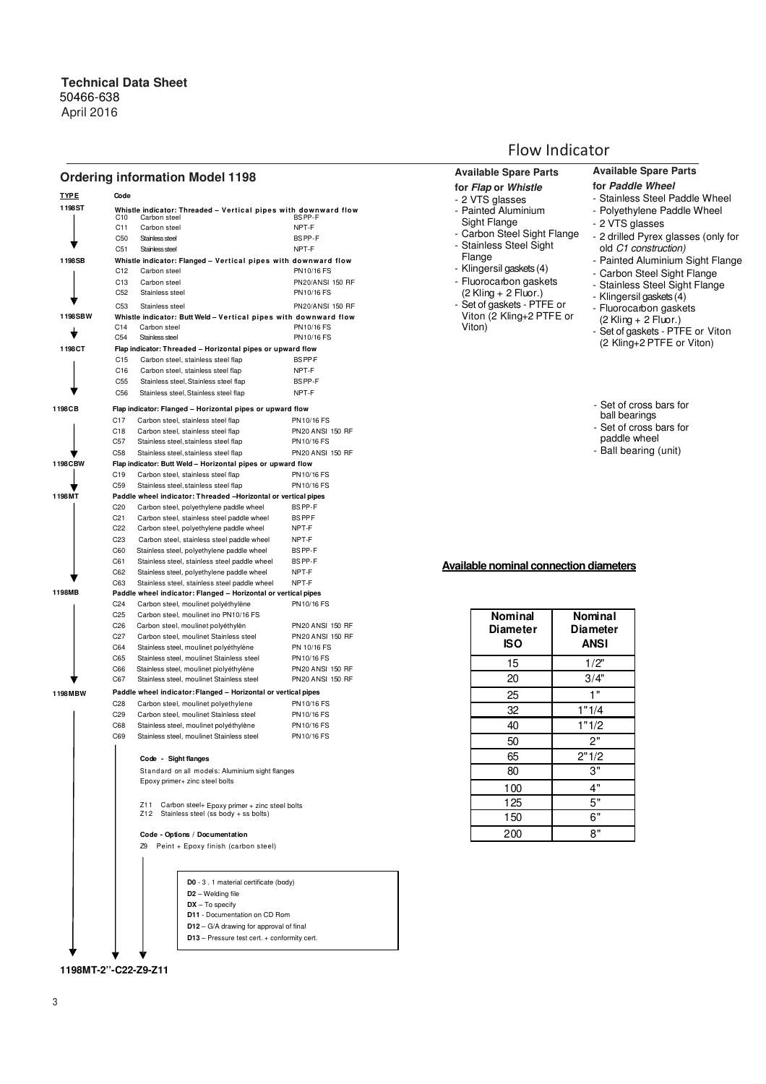### **Ordering information Model 1198**

| <u>TYPE</u> | Code                               |                                                                                                     |                                                    |
|-------------|------------------------------------|-----------------------------------------------------------------------------------------------------|----------------------------------------------------|
| 1198ST      | C10                                | Whistle indicator: Threaded - Vertical pipes with downward flow<br>Carbon steel                     | BS PP-F                                            |
|             | C <sub>11</sub>                    | Carbon steel                                                                                        | NPT-F                                              |
|             | C50                                | Stainless steel                                                                                     | BS PP-F                                            |
|             | C51                                | Stainless steel                                                                                     | NPT-F                                              |
| 1198SB      |                                    | Whistle indicator: Flanged - Vertical pipes with downward flow                                      |                                                    |
|             | C <sub>12</sub>                    | Carbon steel                                                                                        | PN10/16 FS                                         |
|             | C13<br>C <sub>52</sub>             | Carbon steel<br>Stainless steel                                                                     | <b>PN20/ANSI 150 RF</b><br>PN10/16 FS              |
|             |                                    |                                                                                                     |                                                    |
|             | C <sub>53</sub>                    | Stainless steel                                                                                     | PN20/ANSI 150 RF                                   |
| 1198SBW     | C <sub>14</sub>                    | Whistle indicator: Butt Weld - Vertical pipes with downward flow<br>Carbon steel                    | PN10/16 FS                                         |
|             | C54                                | Stainless steel                                                                                     | PN10/16 FS                                         |
| 1198CT      |                                    | Flap indicator: Threaded - Horizontal pipes or upward flow                                          |                                                    |
|             | C <sub>15</sub>                    | Carbon steel, stainless steel flap                                                                  | <b>BSPPF</b>                                       |
|             | C16                                | Carbon steel, stainless steel flap                                                                  | NPT-F                                              |
|             | C55                                | Stainless steel, Stainless steel flap                                                               | BS PP-F                                            |
|             | C56                                | Stainless steel, Stainless steel flap                                                               | NPT-F                                              |
| 1198CB      |                                    | Flap indicator: Flanged - Horizontal pipes or upward flow                                           |                                                    |
|             | C17                                | Carbon steel, stainless steel flap                                                                  | PN10/16 FS                                         |
|             | C18                                | Carbon steel, stainless steel flap                                                                  | <b>PN20 ANSI 150 RF</b>                            |
|             | C57                                | Stainless steel, stainless steel flap                                                               | PN10/16 FS                                         |
|             | C58                                | Stainless steel, stainless steel flap                                                               | <b>PN20 ANSI 150 RF</b>                            |
| 1198CBW     |                                    | Flap indicator: Butt Weld - Horizontal pipes or upward flow                                         |                                                    |
|             | C <sub>19</sub>                    | Carbon steel, stainless steel flap                                                                  | PN10/16 FS                                         |
|             | C <sub>59</sub>                    | Stainless steel, stainless steel flap                                                               | PN10/16 FS                                         |
| 1 198 MT    |                                    | Paddle wheel indicator: Threaded -Horizontal or vertical pipes                                      |                                                    |
|             | C <sub>20</sub><br>C <sub>21</sub> | Carbon steel, polyethylene paddle wheel<br>Carbon steel, stainless steel paddle wheel               | <b>BSPP-F</b><br><b>BSPPF</b>                      |
|             | C <sub>22</sub>                    | Carbon steel, polyethylene paddle wheel                                                             | NPT-F                                              |
|             | C <sub>23</sub>                    | Carbon steel, stainless steel paddle wheel                                                          | NPT-F                                              |
|             | C60                                | Stainless steel, polyethylene paddle wheel                                                          | BS PP-F                                            |
|             | C61                                | Stainless steel, stainless steel paddle wheel                                                       | BS PP-F                                            |
|             | C62                                | Stainless steel, polyethylene paddle wheel                                                          | NPT-F                                              |
|             | C63                                | Stainless steel, stainless steel paddle wheel                                                       | NPT-F                                              |
| 1198MB      |                                    | Paddle wheel indicator: Flanged - Horizontal or vertical pipes                                      |                                                    |
|             | C <sub>24</sub>                    | Carbon steel, moulinet polyéthylène                                                                 | PN10/16 FS                                         |
|             | C <sub>25</sub>                    | Carbon steel, moulinet ino PN10/16 FS                                                               |                                                    |
|             | C <sub>26</sub><br>C <sub>27</sub> | Carbon steel, moulinet polyéthylèn<br>Carbon steel, moulinet Stainless steel                        | <b>PN20 ANSI 150 RF</b><br><b>PN20 ANSI 150 RF</b> |
|             | C64                                | Stainless steel, moulinet polyéthylène                                                              | PN 10/16 FS                                        |
|             | C65                                | Stainless steel, moulinet Stainless steel                                                           | PN10/16 FS                                         |
|             | C66                                | Stainless steel, moulinet piolyéthylène                                                             | <b>PN20 ANSI 150 RF</b>                            |
|             | C67                                | Stainless steel, moulinet Stainless steel                                                           | <b>PN20 ANSI 150 RF</b>                            |
| 1198MBW     |                                    | Paddle wheel indicator: Flanged - Horizontal or vertical pipes                                      |                                                    |
|             | C <sub>28</sub>                    | Carbon steel, moulinet polyethylene                                                                 | PN10/16 FS                                         |
|             | C <sub>29</sub>                    | Carbon steel, moulinet Stainless steel                                                              | PN10/16 FS                                         |
|             | C68                                | Stainless steel, moulinet polyéthylène                                                              | PN10/16 FS                                         |
|             | C69                                | Stainless steel, moulinet Stainless steel                                                           | PN10/16 FS                                         |
|             |                                    |                                                                                                     |                                                    |
|             |                                    | Code - Sight flanges                                                                                |                                                    |
|             |                                    | Standard on all models: Aluminium sight flanges                                                     |                                                    |
|             |                                    | Epoxy primer+ zinc steel bolts                                                                      |                                                    |
|             |                                    |                                                                                                     |                                                    |
|             |                                    | Z11<br>Carbon steel+ Epoxy primer + zinc steel bolts<br>Z12<br>Stainless steel (ss body + ss bolts) |                                                    |
|             |                                    |                                                                                                     |                                                    |
|             |                                    | Code - Options / Documentation                                                                      |                                                    |
|             |                                    | Z9<br>Peint + Epoxy finish (carbon steel)                                                           |                                                    |
|             |                                    |                                                                                                     |                                                    |
|             |                                    |                                                                                                     |                                                    |
|             |                                    | D0 - 3 . 1 material certificate (body)                                                              |                                                    |
|             |                                    | D <sub>2</sub> – Welding file                                                                       |                                                    |
|             |                                    | $DX - To specify$                                                                                   |                                                    |
|             |                                    | D11 - Documentation on CD Rom                                                                       |                                                    |
|             |                                    | $D12 - G/A$ drawing for approval of final                                                           |                                                    |
|             |                                    | D13 - Pressure test cert. + conformity cert.                                                        |                                                    |
|             |                                    |                                                                                                     |                                                    |

**1198MT-2''-C22-Z9-Z11**

# Flow Indicator

| <b>Available Spare Parts</b>                                                                                                                                                                                                                                                                          | <b>Available Spare Parts</b>                                                                                                                                                                                                                                                                                                                                                                                            |
|-------------------------------------------------------------------------------------------------------------------------------------------------------------------------------------------------------------------------------------------------------------------------------------------------------|-------------------------------------------------------------------------------------------------------------------------------------------------------------------------------------------------------------------------------------------------------------------------------------------------------------------------------------------------------------------------------------------------------------------------|
| for Flap or Whistle<br>- 2 VTS glasses<br>- Painted Aluminium<br>Sight Flange<br>- Carbon Steel Sight Flange<br>- Stainless Steel Sight<br>Flange<br>- Klingersil gaskets (4)<br>- Fluorocarbon gaskets<br>$(2$ Kling + 2 Fluor.)<br>- Set of gaskets - PTFE or<br>Viton (2 Kling+2 PTFE or<br>Viton) | for Paddle Wheel<br>- Stainless Steel Paddle Wheel<br>- Polyethylene Paddle Wheel<br>- 2 VTS glasses<br>- 2 drilled Pyrex glasses (only for<br>old C1 construction)<br>- Painted Aluminium Sight Flange<br>- Carbon Steel Sight Flange<br>- Stainless Steel Sight Flange<br>- Klingersil gaskets (4)<br>- Fluorocarbon gaskets<br>(2 Kling + 2 Fluor.)<br>- Set of gaskets - PTFE or Viton<br>(2 Kling+2 PTFE or Viton) |
|                                                                                                                                                                                                                                                                                                       | - Set of cross bars for<br>ball bearings<br>- Set of cross bars for<br>paddle wheel<br>- Ball bearing (unit)                                                                                                                                                                                                                                                                                                            |
|                                                                                                                                                                                                                                                                                                       |                                                                                                                                                                                                                                                                                                                                                                                                                         |
|                                                                                                                                                                                                                                                                                                       |                                                                                                                                                                                                                                                                                                                                                                                                                         |
| <b>Available nominal connection diameters</b><br>Nominal<br><b>Diameter</b>                                                                                                                                                                                                                           | Nominal<br><b>Diameter</b>                                                                                                                                                                                                                                                                                                                                                                                              |
| <b>ISO</b>                                                                                                                                                                                                                                                                                            | <b>ANSI</b>                                                                                                                                                                                                                                                                                                                                                                                                             |
| 15                                                                                                                                                                                                                                                                                                    | 1/2"                                                                                                                                                                                                                                                                                                                                                                                                                    |
| 20                                                                                                                                                                                                                                                                                                    | 3/4"                                                                                                                                                                                                                                                                                                                                                                                                                    |
| 25                                                                                                                                                                                                                                                                                                    | $1^{\overline{0}}$                                                                                                                                                                                                                                                                                                                                                                                                      |
| 32                                                                                                                                                                                                                                                                                                    | 1"1/4                                                                                                                                                                                                                                                                                                                                                                                                                   |
| 40                                                                                                                                                                                                                                                                                                    | 1"1/2                                                                                                                                                                                                                                                                                                                                                                                                                   |
|                                                                                                                                                                                                                                                                                                       | 2"                                                                                                                                                                                                                                                                                                                                                                                                                      |
| 50                                                                                                                                                                                                                                                                                                    | 2"1/2                                                                                                                                                                                                                                                                                                                                                                                                                   |
| 65<br>80                                                                                                                                                                                                                                                                                              | $3^{\circ}$                                                                                                                                                                                                                                                                                                                                                                                                             |
|                                                                                                                                                                                                                                                                                                       |                                                                                                                                                                                                                                                                                                                                                                                                                         |
| 100                                                                                                                                                                                                                                                                                                   | 4"                                                                                                                                                                                                                                                                                                                                                                                                                      |
| 125<br>150                                                                                                                                                                                                                                                                                            | 5"<br>6"                                                                                                                                                                                                                                                                                                                                                                                                                |